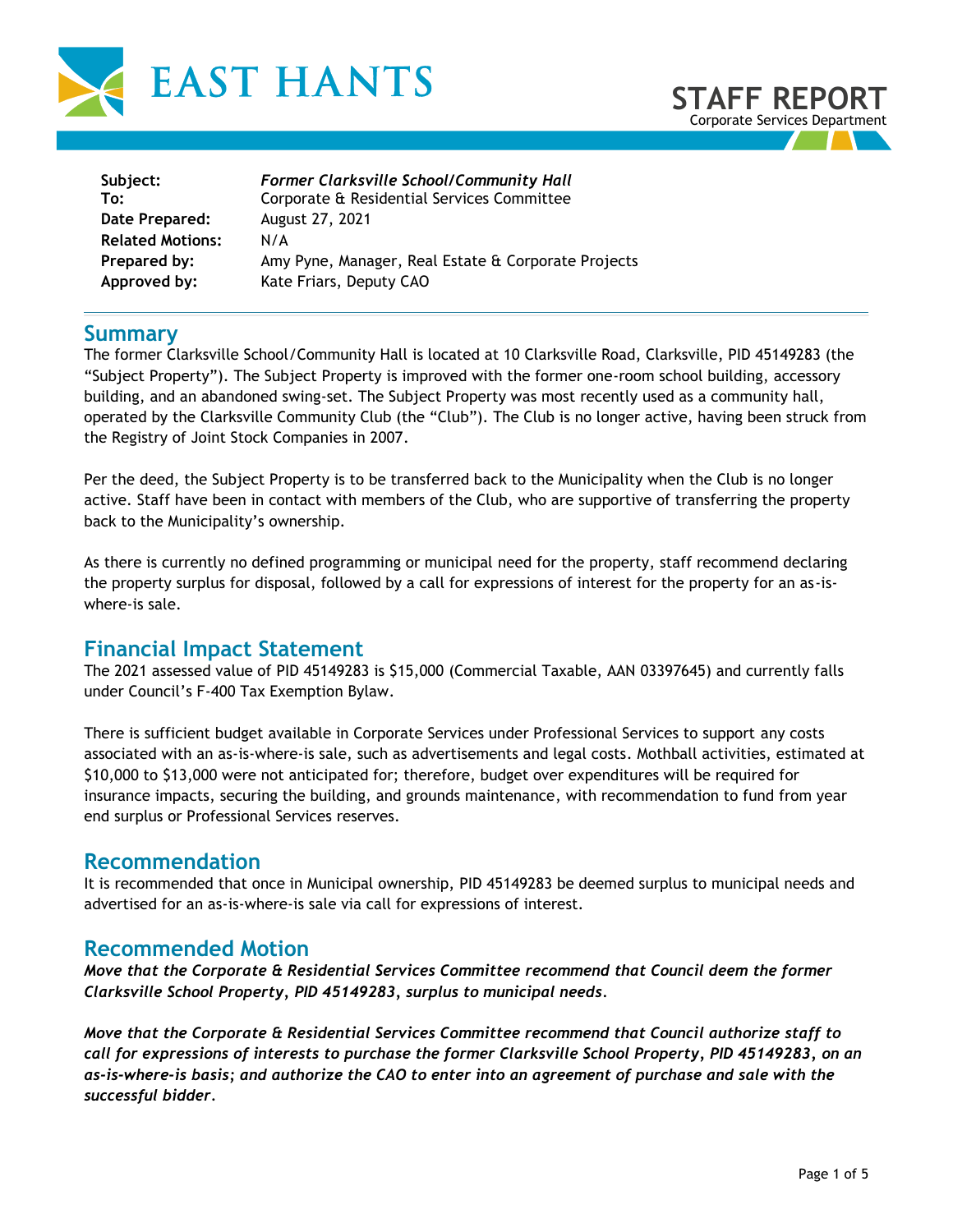



| Subject:                | Former Clarksville School/Community Hall            |
|-------------------------|-----------------------------------------------------|
| To:                     | Corporate & Residential Services Committee          |
| Date Prepared:          | August 27, 2021                                     |
| <b>Related Motions:</b> | $N/\Delta$                                          |
| Prepared by:            | Amy Pyne, Manager, Real Estate & Corporate Projects |
| Approved by:            | Kate Friars, Deputy CAO                             |

## **Summary**

The former Clarksville School/Community Hall is located at 10 Clarksville Road, Clarksville, PID 45149283 (the "Subject Property"). The Subject Property is improved with the former one-room school building, accessory building, and an abandoned swing-set. The Subject Property was most recently used as a community hall, operated by the Clarksville Community Club (the "Club"). The Club is no longer active, having been struck from the Registry of Joint Stock Companies in 2007.

Per the deed, the Subject Property is to be transferred back to the Municipality when the Club is no longer active. Staff have been in contact with members of the Club, who are supportive of transferring the property back to the Municipality's ownership.

As there is currently no defined programming or municipal need for the property, staff recommend declaring the property surplus for disposal, followed by a call for expressions of interest for the property for an as-iswhere-is sale.

## **Financial Impact Statement**

The 2021 assessed value of PID 45149283 is \$15,000 (Commercial Taxable, AAN 03397645) and currently falls under Council's F-400 Tax Exemption Bylaw.

There is sufficient budget available in Corporate Services under Professional Services to support any costs associated with an as-is-where-is sale, such as advertisements and legal costs. Mothball activities, estimated at \$10,000 to \$13,000 were not anticipated for; therefore, budget over expenditures will be required for insurance impacts, securing the building, and grounds maintenance, with recommendation to fund from year end surplus or Professional Services reserves.

## **Recommendation**

It is recommended that once in Municipal ownership, PID 45149283 be deemed surplus to municipal needs and advertised for an as-is-where-is sale via call for expressions of interest.

## **Recommended Motion**

*Move that the Corporate & Residential Services Committee recommend that Council deem the former Clarksville School Property, PID 45149283, surplus to municipal needs.* 

*Move that the Corporate & Residential Services Committee recommend that Council authorize staff to call for expressions of interests to purchase the former Clarksville School Property, PID 45149283, on an as-is-where-is basis; and authorize the CAO to enter into an agreement of purchase and sale with the successful bidder.*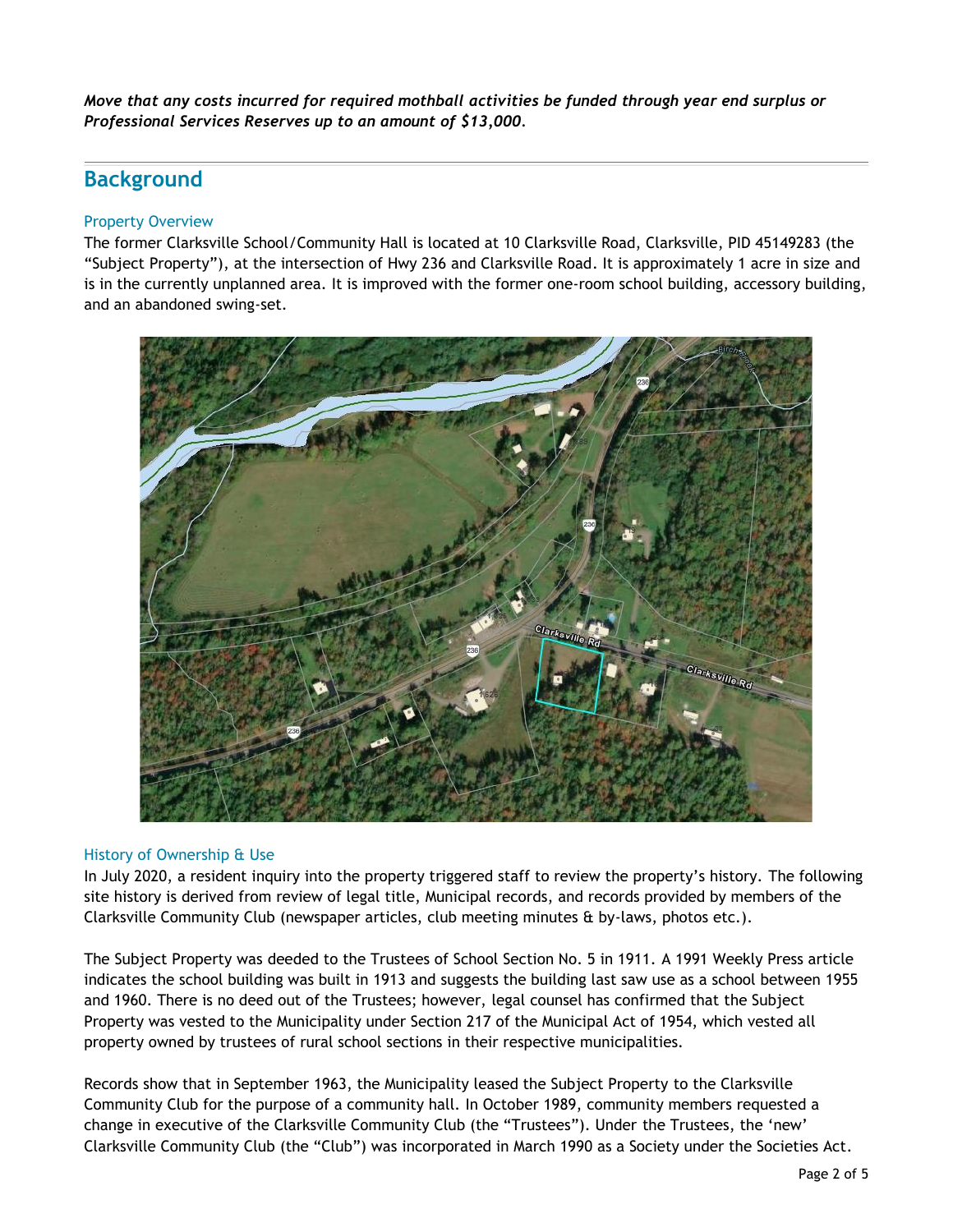*Move that any costs incurred for required mothball activities be funded through year end surplus or Professional Services Reserves up to an amount of \$13,000.*

# **Background**

### Property Overview

The former Clarksville School/Community Hall is located at 10 Clarksville Road, Clarksville, PID 45149283 (the "Subject Property"), at the intersection of Hwy 236 and Clarksville Road. It is approximately 1 acre in size and is in the currently unplanned area. It is improved with the former one-room school building, accessory building, and an abandoned swing-set.



### History of Ownership & Use

In July 2020, a resident inquiry into the property triggered staff to review the property's history. The following site history is derived from review of legal title, Municipal records, and records provided by members of the Clarksville Community Club (newspaper articles, club meeting minutes & by-laws, photos etc.).

The Subject Property was deeded to the Trustees of School Section No. 5 in 1911. A 1991 Weekly Press article indicates the school building was built in 1913 and suggests the building last saw use as a school between 1955 and 1960. There is no deed out of the Trustees; however, legal counsel has confirmed that the Subject Property was vested to the Municipality under Section 217 of the Municipal Act of 1954, which vested all property owned by trustees of rural school sections in their respective municipalities.

Records show that in September 1963, the Municipality leased the Subject Property to the Clarksville Community Club for the purpose of a community hall. In October 1989, community members requested a change in executive of the Clarksville Community Club (the "Trustees"). Under the Trustees, the 'new' Clarksville Community Club (the "Club") was incorporated in March 1990 as a Society under the Societies Act.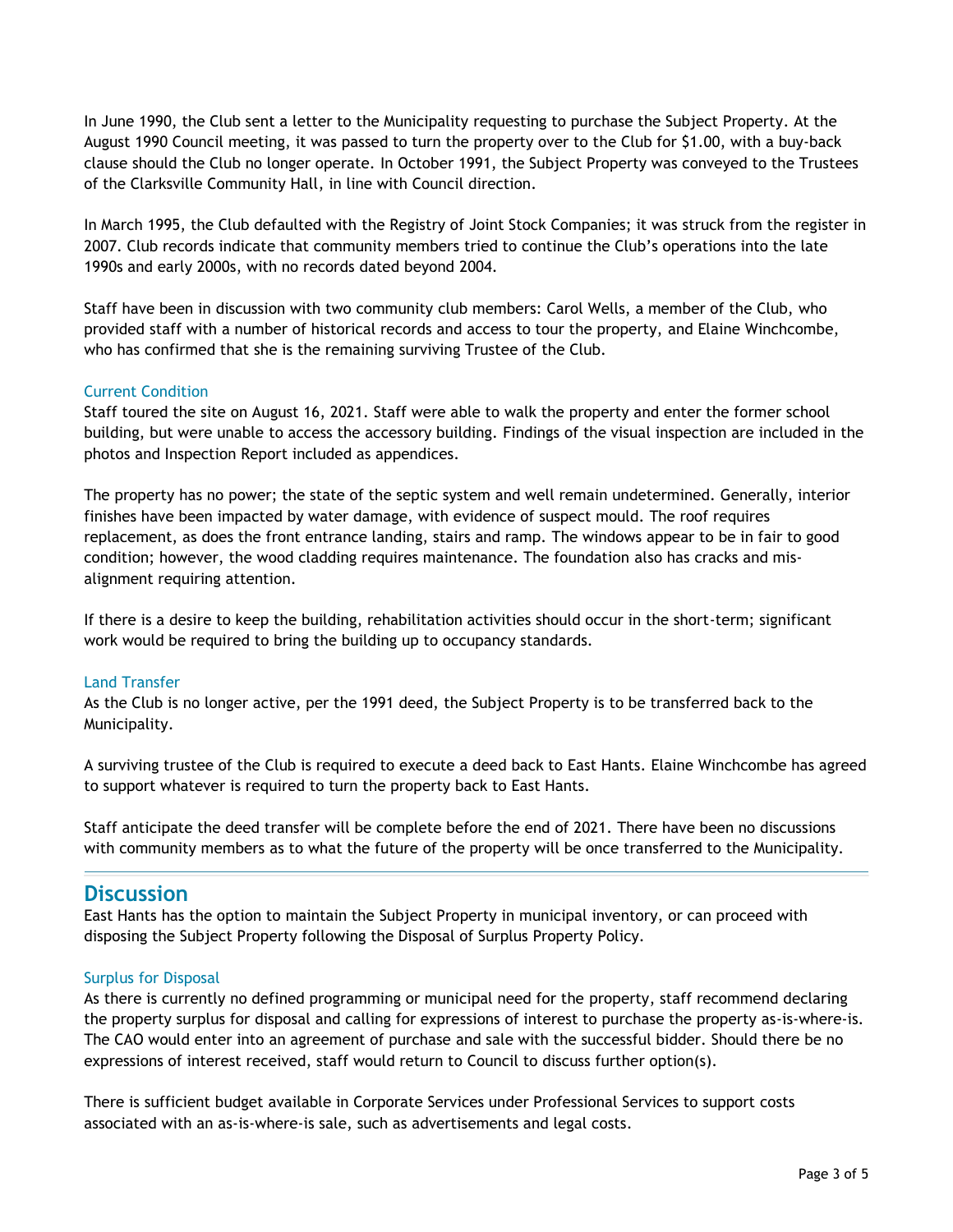In June 1990, the Club sent a letter to the Municipality requesting to purchase the Subject Property. At the August 1990 Council meeting, it was passed to turn the property over to the Club for \$1.00, with a buy-back clause should the Club no longer operate. In October 1991, the Subject Property was conveyed to the Trustees of the Clarksville Community Hall, in line with Council direction.

In March 1995, the Club defaulted with the Registry of Joint Stock Companies; it was struck from the register in 2007. Club records indicate that community members tried to continue the Club's operations into the late 1990s and early 2000s, with no records dated beyond 2004.

Staff have been in discussion with two community club members: Carol Wells, a member of the Club, who provided staff with a number of historical records and access to tour the property, and Elaine Winchcombe, who has confirmed that she is the remaining surviving Trustee of the Club.

#### Current Condition

Staff toured the site on August 16, 2021. Staff were able to walk the property and enter the former school building, but were unable to access the accessory building. Findings of the visual inspection are included in the photos and Inspection Report included as appendices.

The property has no power; the state of the septic system and well remain undetermined. Generally, interior finishes have been impacted by water damage, with evidence of suspect mould. The roof requires replacement, as does the front entrance landing, stairs and ramp. The windows appear to be in fair to good condition; however, the wood cladding requires maintenance. The foundation also has cracks and misalignment requiring attention.

If there is a desire to keep the building, rehabilitation activities should occur in the short-term; significant work would be required to bring the building up to occupancy standards.

### Land Transfer

As the Club is no longer active, per the 1991 deed, the Subject Property is to be transferred back to the Municipality.

A surviving trustee of the Club is required to execute a deed back to East Hants. Elaine Winchcombe has agreed to support whatever is required to turn the property back to East Hants.

Staff anticipate the deed transfer will be complete before the end of 2021. There have been no discussions with community members as to what the future of the property will be once transferred to the Municipality.

### **Discussion**

East Hants has the option to maintain the Subject Property in municipal inventory, or can proceed with disposing the Subject Property following the Disposal of Surplus Property Policy.

#### Surplus for Disposal

As there is currently no defined programming or municipal need for the property, staff recommend declaring the property surplus for disposal and calling for expressions of interest to purchase the property as-is-where-is. The CAO would enter into an agreement of purchase and sale with the successful bidder. Should there be no expressions of interest received, staff would return to Council to discuss further option(s).

There is sufficient budget available in Corporate Services under Professional Services to support costs associated with an as-is-where-is sale, such as advertisements and legal costs.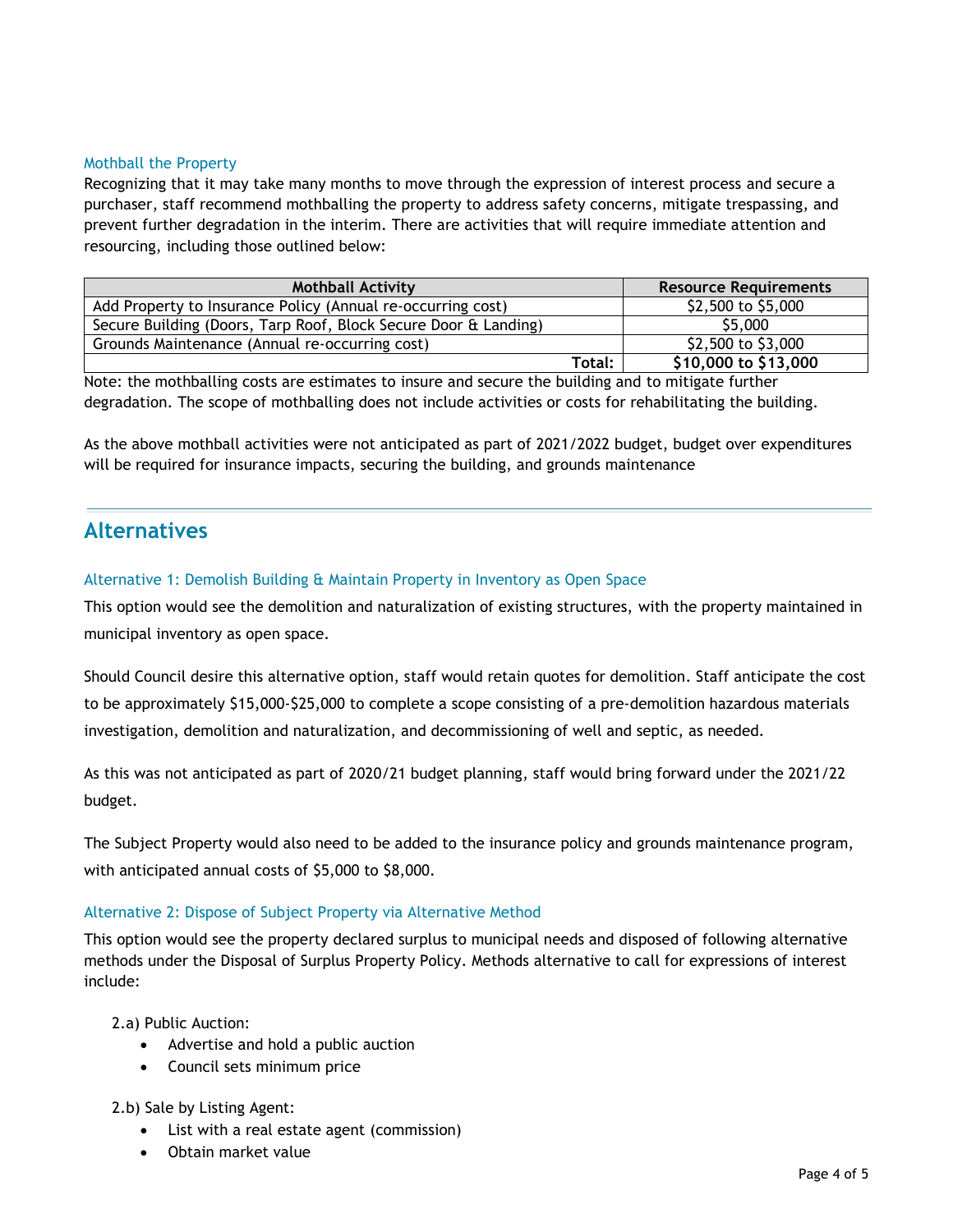#### Mothball the Property

Recognizing that it may take many months to move through the expression of interest process and secure a purchaser, staff recommend mothballing the property to address safety concerns, mitigate trespassing, and prevent further degradation in the interim. There are activities that will require immediate attention and resourcing, including those outlined below:

| <b>Mothball Activity</b>                                        |        | <b>Resource Requirements</b> |
|-----------------------------------------------------------------|--------|------------------------------|
| Add Property to Insurance Policy (Annual re-occurring cost)     |        | \$2,500 to \$5,000           |
| Secure Building (Doors, Tarp Roof, Block Secure Door & Landing) |        | \$5,000                      |
| Grounds Maintenance (Annual re-occurring cost)                  |        | \$2,500 to \$3,000           |
|                                                                 | Total: | $$10,000$ to $$13,000$       |

Note: the mothballing costs are estimates to insure and secure the building and to mitigate further degradation. The scope of mothballing does not include activities or costs for rehabilitating the building.

As the above mothball activities were not anticipated as part of 2021/2022 budget, budget over expenditures will be required for insurance impacts, securing the building, and grounds maintenance

## **Alternatives**

### Alternative 1: Demolish Building & Maintain Property in Inventory as Open Space

This option would see the demolition and naturalization of existing structures, with the property maintained in municipal inventory as open space.

Should Council desire this alternative option, staff would retain quotes for demolition. Staff anticipate the cost to be approximately \$15,000-\$25,000 to complete a scope consisting of a pre-demolition hazardous materials investigation, demolition and naturalization, and decommissioning of well and septic, as needed.

As this was not anticipated as part of 2020/21 budget planning, staff would bring forward under the 2021/22 budget.

The Subject Property would also need to be added to the insurance policy and grounds maintenance program, with anticipated annual costs of \$5,000 to \$8,000.

### Alternative 2: Dispose of Subject Property via Alternative Method

This option would see the property declared surplus to municipal needs and disposed of following alternative methods under the Disposal of Surplus Property Policy. Methods alternative to call for expressions of interest include:

2.a) Public Auction:

- Advertise and hold a public auction
- Council sets minimum price

2.b) Sale by Listing Agent:

- List with a real estate agent (commission)
- Obtain market value